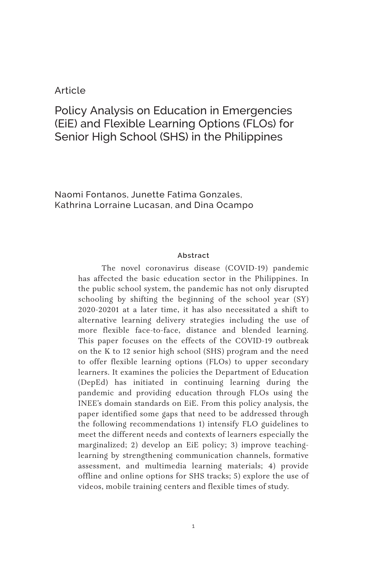## Article

# Policy Analysis on Education in Emergencies (EiE) and Flexible Learning Options (FLOs) for Senior High School (SHS) in the Philippines

Naomi Fontanos, Junette Fatima Gonzales, Kathrina Lorraine Lucasan, and Dina Ocampo

#### **Abstract**

The novel coronavirus disease (COVID-19) pandemic has affected the basic education sector in the Philippines. In the public school system, the pandemic has not only disrupted schooling by shifting the beginning of the school year (SY) 2020-20201 at a later time, it has also necessitated a shift to alternative learning delivery strategies including the use of more flexible face-to-face, distance and blended learning. This paper focuses on the effects of the COVID-19 outbreak on the K to 12 senior high school (SHS) program and the need to offer flexible learning options (FLOs) to upper secondary learners. It examines the policies the Department of Education (DepEd) has initiated in continuing learning during the pandemic and providing education through FLOs using the INEE's domain standards on EiE. From this policy analysis, the paper identified some gaps that need to be addressed through the following recommendations 1) intensify FLO guidelines to meet the different needs and contexts of learners especially the marginalized; 2) develop an EiE policy; 3) improve teachinglearning by strengthening communication channels, formative assessment, and multimedia learning materials; 4) provide offline and online options for SHS tracks; 5) explore the use of videos, mobile training centers and flexible times of study.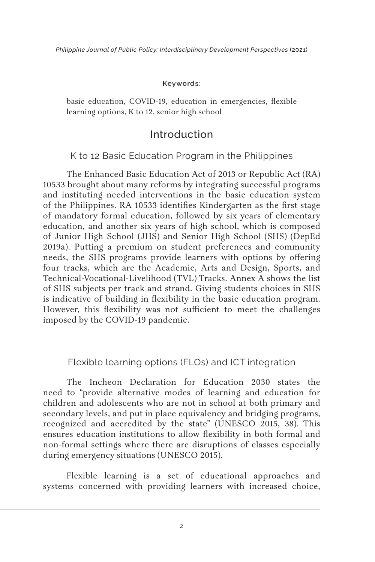#### **Keywords:**

basic education, COVID-19, education in emergencies, flexible learning options, K to 12, senior high school

# Introduction

#### K to 12 Basic Education Program in the Philippines

The Enhanced Basic Education Act of 2013 or Republic Act (RA) 10533 brought about many reforms by integrating successful programs and instituting needed interventions in the basic education system of the Philippines. RA 10533 identifies Kindergarten as the first stage of mandatory formal education, followed by six years of elementary education, and another six years of high school, which is composed of Junior High School (JHS) and Senior High School (SHS) (DepEd 2019a). Putting a premium on student preferences and community needs, the SHS programs provide learners with options by offering four tracks, which are the Academic, Arts and Design, Sports, and Technical-Vocational-Livelihood (TVL) Tracks. Annex A shows the list of SHS subjects per track and strand. Giving students choices in SHS is indicative of building in flexibility in the basic education program. However, this flexibility was not sufficient to meet the challenges imposed by the COVID-19 pandemic.

#### Flexible learning options (FLOs) and ICT integration

The Incheon Declaration for Education 2030 states the need to "provide alternative modes of learning and education for children and adolescents who are not in school at both primary and secondary levels, and put in place equivalency and bridging programs, recognized and accredited by the state" (UNESCO 2015, 38). This ensures education institutions to allow flexibility in both formal and non-formal settings where there are disruptions of classes especially during emergency situations (UNESCO 2015).

Flexible learning is a set of educational approaches and systems concerned with providing learners with increased choice,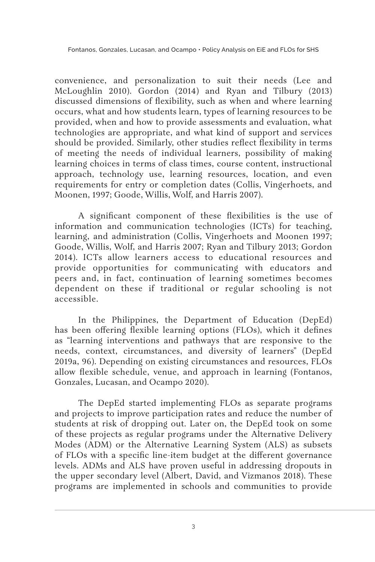convenience, and personalization to suit their needs (Lee and McLoughlin 2010). Gordon (2014) and Ryan and Tilbury (2013) discussed dimensions of flexibility, such as when and where learning occurs, what and how students learn, types of learning resources to be provided, when and how to provide assessments and evaluation, what technologies are appropriate, and what kind of support and services should be provided. Similarly, other studies reflect flexibility in terms of meeting the needs of individual learners, possibility of making learning choices in terms of class times, course content, instructional approach, technology use, learning resources, location, and even requirements for entry or completion dates (Collis, Vingerhoets, and Moonen, 1997; Goode, Willis, Wolf, and Harris 2007).

A significant component of these flexibilities is the use of information and communication technologies (ICTs) for teaching, learning, and administration (Collis, Vingerhoets and Moonen 1997; Goode, Willis, Wolf, and Harris 2007; Ryan and Tilbury 2013; Gordon 2014). ICTs allow learners access to educational resources and provide opportunities for communicating with educators and peers and, in fact, continuation of learning sometimes becomes dependent on these if traditional or regular schooling is not accessible.

In the Philippines, the Department of Education (DepEd) has been offering flexible learning options (FLOs), which it defines as "learning interventions and pathways that are responsive to the needs, context, circumstances, and diversity of learners" (DepEd 2019a, 96). Depending on existing circumstances and resources, FLOs allow flexible schedule, venue, and approach in learning (Fontanos, Gonzales, Lucasan, and Ocampo 2020).

The DepEd started implementing FLOs as separate programs and projects to improve participation rates and reduce the number of students at risk of dropping out. Later on, the DepEd took on some of these projects as regular programs under the Alternative Delivery Modes (ADM) or the Alternative Learning System (ALS) as subsets of FLOs with a specific line-item budget at the different governance levels. ADMs and ALS have proven useful in addressing dropouts in the upper secondary level (Albert, David, and Vizmanos 2018). These programs are implemented in schools and communities to provide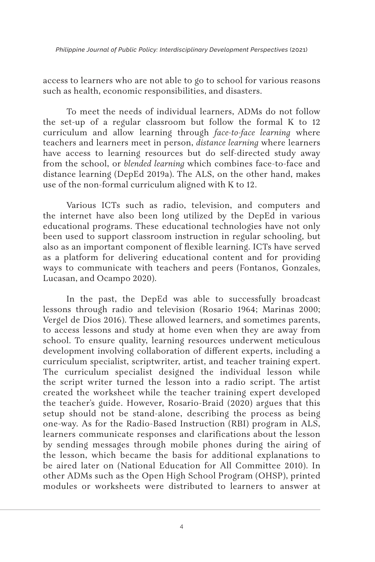access to learners who are not able to go to school for various reasons such as health, economic responsibilities, and disasters.

To meet the needs of individual learners, ADMs do not follow the set-up of a regular classroom but follow the formal K to 12 curriculum and allow learning through *face-to-face learning* where teachers and learners meet in person, *distance learning* where learners have access to learning resources but do self-directed study away from the school, or *blended learning* which combines face-to-face and distance learning (DepEd 2019a). The ALS, on the other hand, makes use of the non-formal curriculum aligned with K to 12.

Various ICTs such as radio, television, and computers and the internet have also been long utilized by the DepEd in various educational programs. These educational technologies have not only been used to support classroom instruction in regular schooling, but also as an important component of flexible learning. ICTs have served as a platform for delivering educational content and for providing ways to communicate with teachers and peers (Fontanos, Gonzales, Lucasan, and Ocampo 2020).

In the past, the DepEd was able to successfully broadcast lessons through radio and television (Rosario 1964; Marinas 2000; Vergel de Dios 2016). These allowed learners, and sometimes parents, to access lessons and study at home even when they are away from school. To ensure quality, learning resources underwent meticulous development involving collaboration of different experts, including a curriculum specialist, scriptwriter, artist, and teacher training expert. The curriculum specialist designed the individual lesson while the script writer turned the lesson into a radio script. The artist created the worksheet while the teacher training expert developed the teacher's guide. However, Rosario-Braid (2020) argues that this setup should not be stand-alone, describing the process as being one-way. As for the Radio-Based Instruction (RBI) program in ALS, learners communicate responses and clarifications about the lesson by sending messages through mobile phones during the airing of the lesson, which became the basis for additional explanations to be aired later on (National Education for All Committee 2010). In other ADMs such as the Open High School Program (OHSP), printed modules or worksheets were distributed to learners to answer at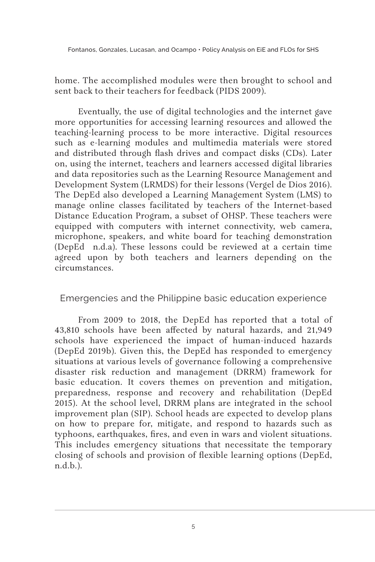home. The accomplished modules were then brought to school and sent back to their teachers for feedback (PIDS 2009).

Eventually, the use of digital technologies and the internet gave more opportunities for accessing learning resources and allowed the teaching-learning process to be more interactive. Digital resources such as e-learning modules and multimedia materials were stored and distributed through flash drives and compact disks (CDs). Later on, using the internet, teachers and learners accessed digital libraries and data repositories such as the Learning Resource Management and Development System (LRMDS) for their lessons (Vergel de Dios 2016). The DepEd also developed a Learning Management System (LMS) to manage online classes facilitated by teachers of the Internet-based Distance Education Program, a subset of OHSP. These teachers were equipped with computers with internet connectivity, web camera, microphone, speakers, and white board for teaching demonstration (DepEd n.d.a). These lessons could be reviewed at a certain time agreed upon by both teachers and learners depending on the circumstances.

Emergencies and the Philippine basic education experience

From 2009 to 2018, the DepEd has reported that a total of 43,810 schools have been affected by natural hazards, and 21,949 schools have experienced the impact of human-induced hazards (DepEd 2019b). Given this, the DepEd has responded to emergency situations at various levels of governance following a comprehensive disaster risk reduction and management (DRRM) framework for basic education. It covers themes on prevention and mitigation, preparedness, response and recovery and rehabilitation (DepEd 2015). At the school level, DRRM plans are integrated in the school improvement plan (SIP). School heads are expected to develop plans on how to prepare for, mitigate, and respond to hazards such as typhoons, earthquakes, fires, and even in wars and violent situations. This includes emergency situations that necessitate the temporary closing of schools and provision of flexible learning options (DepEd, n.d.b.).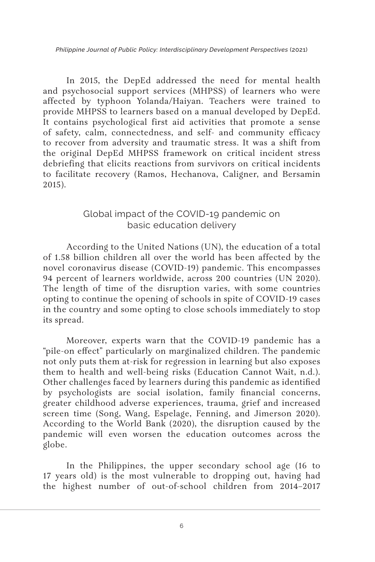In 2015, the DepEd addressed the need for mental health and psychosocial support services (MHPSS) of learners who were affected by typhoon Yolanda/Haiyan. Teachers were trained to provide MHPSS to learners based on a manual developed by DepEd. It contains psychological first aid activities that promote a sense of safety, calm, connectedness, and self- and community efficacy to recover from adversity and traumatic stress. It was a shift from the original DepEd MHPSS framework on critical incident stress debriefing that elicits reactions from survivors on critical incidents to facilitate recovery (Ramos, Hechanova, Caligner, and Bersamin 2015).

# Global impact of the COVID-19 pandemic on basic education delivery

According to the United Nations (UN), the education of a total of 1.58 billion children all over the world has been affected by the novel coronavirus disease (COVID-19) pandemic. This encompasses 94 percent of learners worldwide, across 200 countries (UN 2020). The length of time of the disruption varies, with some countries opting to continue the opening of schools in spite of COVID-19 cases in the country and some opting to close schools immediately to stop its spread.

Moreover, experts warn that the COVID-19 pandemic has a "pile-on effect" particularly on marginalized children. The pandemic not only puts them at-risk for regression in learning but also exposes them to health and well-being risks (Education Cannot Wait, n.d.). Other challenges faced by learners during this pandemic as identified by psychologists are social isolation, family financial concerns, greater childhood adverse experiences, trauma, grief and increased screen time (Song, Wang, Espelage, Fenning, and Jimerson 2020). According to the World Bank (2020), the disruption caused by the pandemic will even worsen the education outcomes across the globe.

In the Philippines, the upper secondary school age (16 to 17 years old) is the most vulnerable to dropping out, having had the highest number of out-of-school children from 2014–2017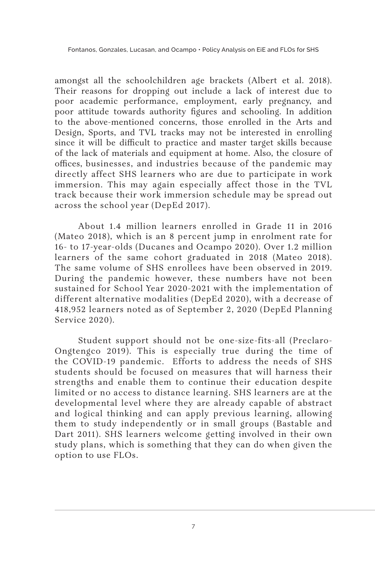amongst all the schoolchildren age brackets (Albert et al. 2018). Their reasons for dropping out include a lack of interest due to poor academic performance, employment, early pregnancy, and poor attitude towards authority figures and schooling. In addition to the above-mentioned concerns, those enrolled in the Arts and Design, Sports, and TVL tracks may not be interested in enrolling since it will be difficult to practice and master target skills because of the lack of materials and equipment at home. Also, the closure of offices, businesses, and industries because of the pandemic may directly affect SHS learners who are due to participate in work immersion. This may again especially affect those in the TVL track because their work immersion schedule may be spread out across the school year (DepEd 2017).

About 1.4 million learners enrolled in Grade 11 in 2016 (Mateo 2018), which is an 8 percent jump in enrolment rate for 16- to 17-year-olds (Ducanes and Ocampo 2020). Over 1.2 million learners of the same cohort graduated in 2018 (Mateo 2018). The same volume of SHS enrollees have been observed in 2019. During the pandemic however, these numbers have not been sustained for School Year 2020-2021 with the implementation of different alternative modalities (DepEd 2020), with a decrease of 418,952 learners noted as of September 2, 2020 (DepEd Planning Service 2020).

Student support should not be one-size-fits-all (Preclaro-Ongtengco 2019). This is especially true during the time of the COVID-19 pandemic. Efforts to address the needs of SHS students should be focused on measures that will harness their strengths and enable them to continue their education despite limited or no access to distance learning. SHS learners are at the developmental level where they are already capable of abstract and logical thinking and can apply previous learning, allowing them to study independently or in small groups (Bastable and Dart 2011). SHS learners welcome getting involved in their own study plans, which is something that they can do when given the option to use FLOs.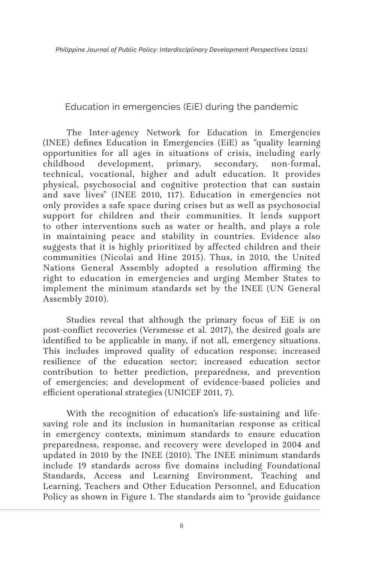Education in emergencies (EiE) during the pandemic

The Inter-agency Network for Education in Emergencies (INEE) defines Education in Emergencies (EiE) as "quality learning opportunities for all ages in situations of crisis, including early childhood development, primary, secondary, non-formal, technical, vocational, higher and adult education. It provides physical, psychosocial and cognitive protection that can sustain and save lives" (INEE 2010, 117). Education in emergencies not only provides a safe space during crises but as well as psychosocial support for children and their communities. It lends support to other interventions such as water or health, and plays a role in maintaining peace and stability in countries. Evidence also suggests that it is highly prioritized by affected children and their communities (Nicolai and Hine 2015). Thus, in 2010, the United Nations General Assembly adopted a resolution affirming the right to education in emergencies and urging Member States to implement the minimum standards set by the INEE (UN General Assembly 2010).

Studies reveal that although the primary focus of EiE is on post-conflict recoveries (Versmesse et al. 2017), the desired goals are identified to be applicable in many, if not all, emergency situations. This includes improved quality of education response; increased resilience of the education sector; increased education sector contribution to better prediction, preparedness, and prevention of emergencies; and development of evidence-based policies and efficient operational strategies (UNICEF 2011, 7).

With the recognition of education's life-sustaining and lifesaving role and its inclusion in humanitarian response as critical in emergency contexts, minimum standards to ensure education preparedness, response, and recovery were developed in 2004 and updated in 2010 by the INEE (2010). The INEE minimum standards include 19 standards across five domains including Foundational Standards, Access and Learning Environment, Teaching and Learning, Teachers and Other Education Personnel, and Education Policy as shown in Figure 1. The standards aim to "provide guidance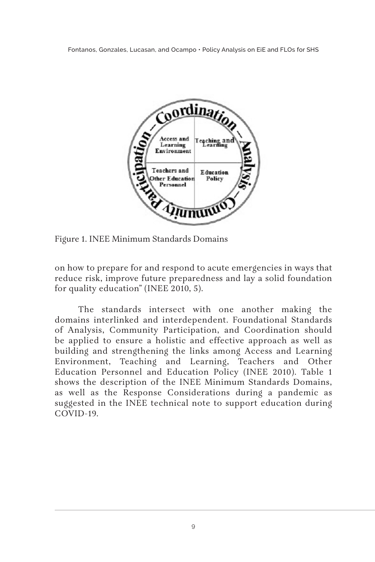

Figure 1. INEE Minimum Standards Domains

on how to prepare for and respond to acute emergencies in ways that reduce risk, improve future preparedness and lay a solid foundation for quality education" (INEE 2010, 5).

The standards intersect with one another making the domains interlinked and interdependent. Foundational Standards of Analysis, Community Participation, and Coordination should be applied to ensure a holistic and effective approach as well as building and strengthening the links among Access and Learning Environment, Teaching and Learning, Teachers and Other Education Personnel and Education Policy (INEE 2010). Table 1 shows the description of the INEE Minimum Standards Domains, as well as the Response Considerations during a pandemic as suggested in the INEE technical note to support education during COVID-19.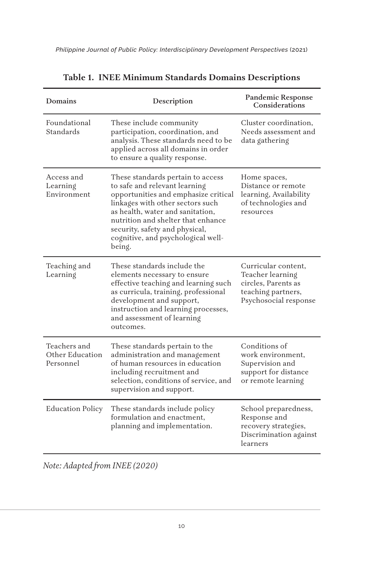| Domains                                      | Description                                                                                                                                                                                                                                                                                                | <b>Pandemic Response</b><br>Considerations                                                                    |
|----------------------------------------------|------------------------------------------------------------------------------------------------------------------------------------------------------------------------------------------------------------------------------------------------------------------------------------------------------------|---------------------------------------------------------------------------------------------------------------|
| Foundational<br>Standards                    | These include community<br>participation, coordination, and<br>analysis. These standards need to be<br>applied across all domains in order<br>to ensure a quality response.                                                                                                                                | Cluster coordination,<br>Needs assessment and<br>data gathering                                               |
| Access and<br>Learning<br>Environment        | These standards pertain to access<br>to safe and relevant learning<br>opportunities and emphasize critical<br>linkages with other sectors such<br>as health, water and sanitation,<br>nutrition and shelter that enhance<br>security, safety and physical,<br>cognitive, and psychological well-<br>being. | Home spaces,<br>Distance or remote<br>learning, Availability<br>of technologies and<br>resources              |
| Teaching and<br>Learning                     | These standards include the<br>elements necessary to ensure<br>effective teaching and learning such<br>as curricula, training, professional<br>development and support,<br>instruction and learning processes,<br>and assessment of learning<br>outcomes.                                                  | Curricular content,<br>Teacher learning<br>circles, Parents as<br>teaching partners,<br>Psychosocial response |
| Teachers and<br>Other Education<br>Personnel | These standards pertain to the<br>administration and management<br>of human resources in education<br>including recruitment and<br>selection, conditions of service, and<br>supervision and support.                                                                                                       | Conditions of<br>work environment,<br>Supervision and<br>support for distance<br>or remote learning           |
| <b>Education Policy</b>                      | These standards include policy<br>formulation and enactment.<br>planning and implementation.                                                                                                                                                                                                               | School preparedness,<br>Response and<br>recovery strategies,<br>Discrimination against<br>learners            |

*Note: Adapted from INEE (2020)*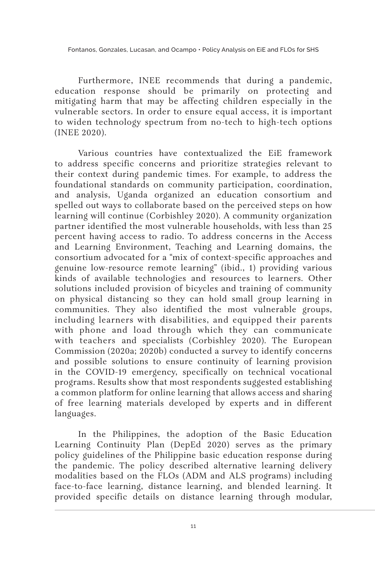Furthermore, INEE recommends that during a pandemic, education response should be primarily on protecting and mitigating harm that may be affecting children especially in the vulnerable sectors. In order to ensure equal access, it is important to widen technology spectrum from no-tech to high-tech options (INEE 2020).

Various countries have contextualized the EiE framework to address specific concerns and prioritize strategies relevant to their context during pandemic times. For example, to address the foundational standards on community participation, coordination, and analysis, Uganda organized an education consortium and spelled out ways to collaborate based on the perceived steps on how learning will continue (Corbishley 2020). A community organization partner identified the most vulnerable households, with less than 25 percent having access to radio. To address concerns in the Access and Learning Environment, Teaching and Learning domains, the consortium advocated for a "mix of context-specific approaches and genuine low-resource remote learning" (ibid., 1) providing various kinds of available technologies and resources to learners. Other solutions included provision of bicycles and training of community on physical distancing so they can hold small group learning in communities. They also identified the most vulnerable groups, including learners with disabilities, and equipped their parents with phone and load through which they can communicate with teachers and specialists (Corbishley 2020). The European Commission (2020a; 2020b) conducted a survey to identify concerns and possible solutions to ensure continuity of learning provision in the COVID-19 emergency, specifically on technical vocational programs. Results show that most respondents suggested establishing a common platform for online learning that allows access and sharing of free learning materials developed by experts and in different languages.

In the Philippines, the adoption of the Basic Education Learning Continuity Plan (DepEd 2020) serves as the primary policy guidelines of the Philippine basic education response during the pandemic. The policy described alternative learning delivery modalities based on the FLOs (ADM and ALS programs) including face-to-face learning, distance learning, and blended learning. It provided specific details on distance learning through modular,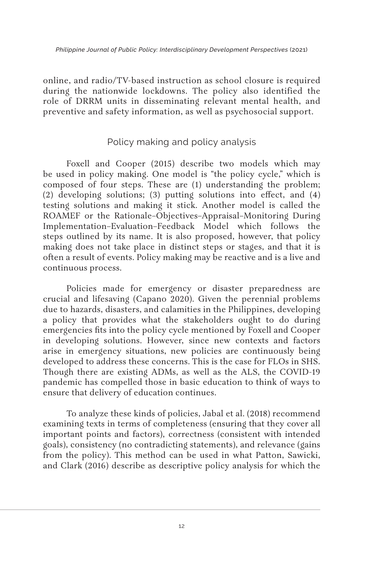online, and radio/TV-based instruction as school closure is required during the nationwide lockdowns. The policy also identified the role of DRRM units in disseminating relevant mental health, and preventive and safety information, as well as psychosocial support.

## Policy making and policy analysis

Foxell and Cooper (2015) describe two models which may be used in policy making. One model is "the policy cycle," which is composed of four steps. These are (1) understanding the problem; (2) developing solutions; (3) putting solutions into effect, and (4) testing solutions and making it stick. Another model is called the ROAMEF or the Rationale–Objectives–Appraisal–Monitoring During Implementation–Evaluation–Feedback Model which follows the steps outlined by its name. It is also proposed, however, that policy making does not take place in distinct steps or stages, and that it is often a result of events. Policy making may be reactive and is a live and continuous process.

Policies made for emergency or disaster preparedness are crucial and lifesaving (Capano 2020). Given the perennial problems due to hazards, disasters, and calamities in the Philippines, developing a policy that provides what the stakeholders ought to do during emergencies fits into the policy cycle mentioned by Foxell and Cooper in developing solutions. However, since new contexts and factors arise in emergency situations, new policies are continuously being developed to address these concerns. This is the case for FLOs in SHS. Though there are existing ADMs, as well as the ALS, the COVID-19 pandemic has compelled those in basic education to think of ways to ensure that delivery of education continues.

To analyze these kinds of policies, Jabal et al. (2018) recommend examining texts in terms of completeness (ensuring that they cover all important points and factors), correctness (consistent with intended goals), consistency (no contradicting statements), and relevance (gains from the policy). This method can be used in what Patton, Sawicki, and Clark (2016) describe as descriptive policy analysis for which the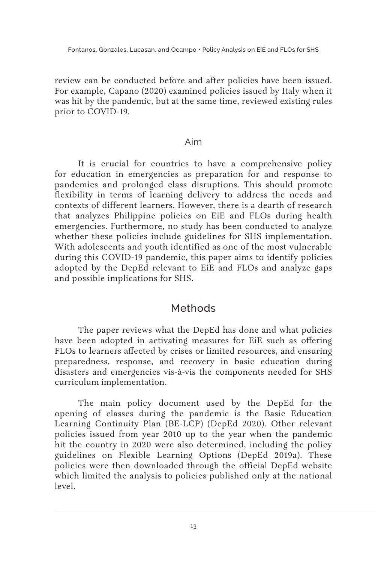review can be conducted before and after policies have been issued. For example, Capano (2020) examined policies issued by Italy when it was hit by the pandemic, but at the same time, reviewed existing rules prior to COVID-19.

#### Aim

It is crucial for countries to have a comprehensive policy for education in emergencies as preparation for and response to pandemics and prolonged class disruptions. This should promote flexibility in terms of learning delivery to address the needs and contexts of different learners. However, there is a dearth of research that analyzes Philippine policies on EiE and FLOs during health emergencies. Furthermore, no study has been conducted to analyze whether these policies include guidelines for SHS implementation. With adolescents and youth identified as one of the most vulnerable during this COVID-19 pandemic, this paper aims to identify policies adopted by the DepEd relevant to EiE and FLOs and analyze gaps and possible implications for SHS.

# Methods

The paper reviews what the DepEd has done and what policies have been adopted in activating measures for EiE such as offering FLOs to learners affected by crises or limited resources, and ensuring preparedness, response, and recovery in basic education during disasters and emergencies vis-à-vis the components needed for SHS curriculum implementation.

The main policy document used by the DepEd for the opening of classes during the pandemic is the Basic Education Learning Continuity Plan (BE-LCP) (DepEd 2020). Other relevant policies issued from year 2010 up to the year when the pandemic hit the country in 2020 were also determined, including the policy guidelines on Flexible Learning Options (DepEd 2019a). These policies were then downloaded through the official DepEd website which limited the analysis to policies published only at the national level.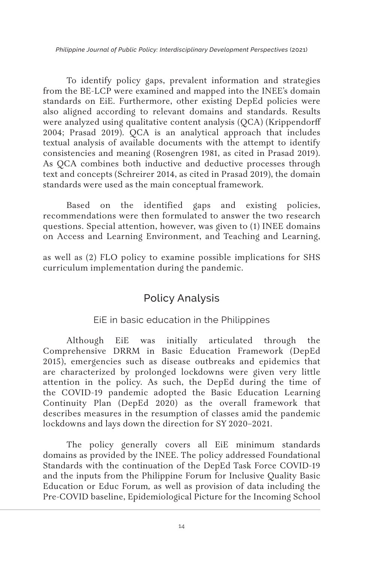To identify policy gaps, prevalent information and strategies from the BE-LCP were examined and mapped into the INEE's domain standards on EiE. Furthermore, other existing DepEd policies were also aligned according to relevant domains and standards. Results were analyzed using qualitative content analysis (QCA) (Krippendorff 2004; Prasad 2019). QCA is an analytical approach that includes textual analysis of available documents with the attempt to identify consistencies and meaning (Rosengren 1981, as cited in Prasad 2019). As QCA combines both inductive and deductive processes through text and concepts (Schreirer 2014, as cited in Prasad 2019), the domain standards were used as the main conceptual framework.

Based on the identified gaps and existing policies, recommendations were then formulated to answer the two research questions. Special attention, however, was given to (1) INEE domains on Access and Learning Environment, and Teaching and Learning,

as well as (2) FLO policy to examine possible implications for SHS curriculum implementation during the pandemic.

# Policy Analysis

### EiE in basic education in the Philippines

Although EiE was initially articulated through the Comprehensive DRRM in Basic Education Framework (DepEd 2015), emergencies such as disease outbreaks and epidemics that are characterized by prolonged lockdowns were given very little attention in the policy. As such, the DepEd during the time of the COVID-19 pandemic adopted the Basic Education Learning Continuity Plan (DepEd 2020) as the overall framework that describes measures in the resumption of classes amid the pandemic lockdowns and lays down the direction for SY 2020–2021.

The policy generally covers all EiE minimum standards domains as provided by the INEE. The policy addressed Foundational Standards with the continuation of the DepEd Task Force COVID-19 and the inputs from the Philippine Forum for Inclusive Quality Basic Education or Educ Forum*,* as well as provision of data including the Pre-COVID baseline, Epidemiological Picture for the Incoming School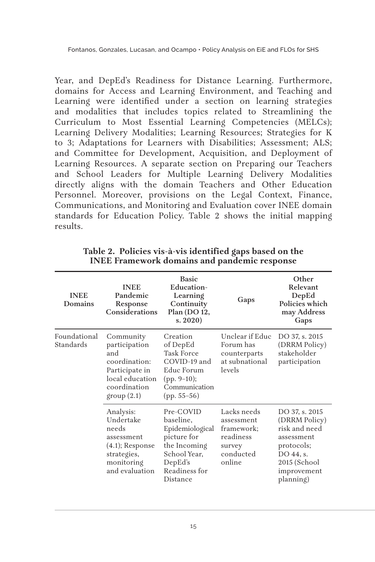Year, and DepEd's Readiness for Distance Learning. Furthermore, domains for Access and Learning Environment, and Teaching and Learning were identified under a section on learning strategies and modalities that includes topics related to Streamlining the Curriculum to Most Essential Learning Competencies (MELCs); Learning Delivery Modalities; Learning Resources; Strategies for K to 3; Adaptations for Learners with Disabilities; Assessment; ALS; and Committee for Development, Acquisition, and Deployment of Learning Resources. A separate section on Preparing our Teachers and School Leaders for Multiple Learning Delivery Modalities directly aligns with the domain Teachers and Other Education Personnel. Moreover, provisions on the Legal Context, Finance, Communications, and Monitoring and Evaluation cover INEE domain standards for Education Policy. Table 2 shows the initial mapping results.

| <b>INEE</b><br>Domains    | <b>INEE</b><br>Pandemic<br>Response<br>Considerations                                                                 | <b>Basic</b><br>Education-<br>Learning<br>Continuity<br>Plan (DO 12,<br>s. 2020                                                  | Gaps                                                                                  | Other<br>Relevant<br>DepEd<br>Policies which<br>may Address<br>Gaps                                                                   |
|---------------------------|-----------------------------------------------------------------------------------------------------------------------|----------------------------------------------------------------------------------------------------------------------------------|---------------------------------------------------------------------------------------|---------------------------------------------------------------------------------------------------------------------------------------|
| Foundational<br>Standards | Community<br>participation<br>and<br>coordination:<br>Participate in<br>local education<br>coordination<br>group(2.1) | Creation<br>of DepEd<br><b>Task Force</b><br>COVID-19 and<br>Educ Forum<br>$(pp. 9-10);$<br>Communication<br>$(pp. 55-56)$       | Unclear if Educ<br>Forum has<br>counterparts<br>at subnational<br>levels              | DO 37, s. 2015<br>(DRRM Policy)<br>stakeholder<br>participation                                                                       |
|                           | Analysis:<br>Undertake<br>needs<br>assessment<br>$(4.1)$ ; Response<br>strategies,<br>monitoring<br>and evaluation    | Pre-COVID<br>baseline,<br>Epidemiological<br>picture for<br>the Incoming<br>School Year,<br>DepEd's<br>Readiness for<br>Distance | Lacks needs<br>assessment<br>framework;<br>readiness<br>survey<br>conducted<br>online | DO 37, s. 2015<br>(DRRM Policy)<br>risk and need<br>assessment<br>protocols;<br>DO 44, s.<br>2015 (School<br>improvement<br>planning) |

**Table 2. Policies vis-à-vis identified gaps based on the INEE Framework domains and pandemic response**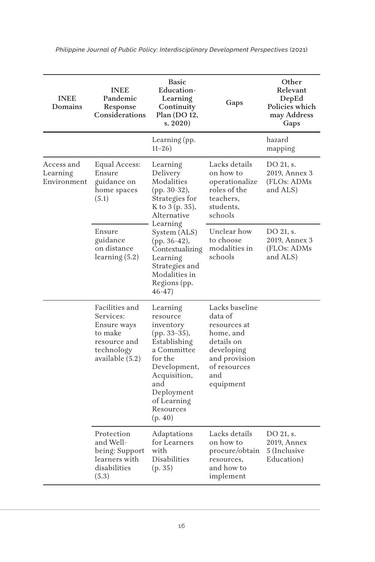| <b>INEE</b><br>Domains                | <b>INEE</b><br>Pandemic<br>Response<br><b>Considerations</b>                                           | <b>Basic</b><br><b>Education-</b><br>Learning<br>Continuity<br>Plan (DO 12,<br>s. 2020                                                                                                                                                         | Gaps                                                                                                                                    | Other<br>Relevant<br>DepEd<br>Policies which<br>may Address<br>Gaps |
|---------------------------------------|--------------------------------------------------------------------------------------------------------|------------------------------------------------------------------------------------------------------------------------------------------------------------------------------------------------------------------------------------------------|-----------------------------------------------------------------------------------------------------------------------------------------|---------------------------------------------------------------------|
|                                       |                                                                                                        | Learning (pp.<br>$11 - 26$                                                                                                                                                                                                                     |                                                                                                                                         | hazard<br>mapping                                                   |
| Access and<br>Learning<br>Environment | Equal Access:<br>Ensure<br>guidance on<br>home spaces<br>(5.1)                                         | Learning<br>Delivery<br>Modalities<br>(pp. 30-32),<br>Strategies for<br>K to 3 (p. 35),<br>Alternative<br>Learning<br>System (ALS)<br>(pp. 36-42),<br>Contextualizing<br>Learning<br>Strategies and<br>Modalities in<br>Regions (pp.<br>46-47) | Lacks details<br>on how to<br>operationalize<br>roles of the<br>teachers.<br>students,<br>schools                                       | DO 21, s.<br>2019, Annex 3<br>(FLOs: ADMs<br>and ALS)               |
|                                       | Ensure<br>guidance<br>on distance<br>learning(5.2)                                                     |                                                                                                                                                                                                                                                | Unclear how<br>to choose<br>modalities in<br>schools                                                                                    | DO 21, s.<br>2019, Annex 3<br>(FLOs: ADMs<br>and ALS)               |
|                                       | Facilities and<br>Services:<br>Ensure ways<br>to make<br>resource and<br>technology<br>available (5.2) | Learning<br>resource<br>inventory<br>(pp. 33–35),<br>Establishing<br>a Committee<br>for the<br>Development,<br>Acquisition,<br>and<br>Deployment<br>of Learning<br>Resources<br>(p. 40)                                                        | Lacks baseline<br>data of<br>resources at<br>home, and<br>details on<br>developing<br>and provision<br>of resources<br>and<br>equipment |                                                                     |
|                                       | Protection<br>and Well-<br>being: Support<br>learners with<br>disabilities<br>(5.3)                    | Adaptations<br>for Learners<br>with<br>Disabilities<br>(p. 35)                                                                                                                                                                                 | Lacks details<br>on how to<br>procure/obtain<br>resources,<br>and how to<br>implement                                                   | DO 21, s.<br>2019, Annex<br>5 (Inclusive<br>Education)              |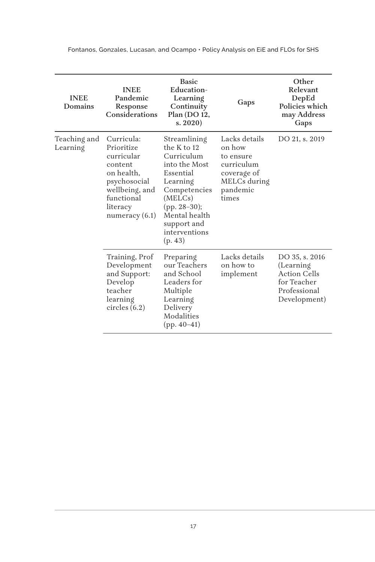| <b>INEE</b><br>Domains   | <b>INEE</b><br>Pandemic<br>Response<br>Considerations                                                                                           | <b>Basic</b><br>Education-<br>Learning<br>Continuity<br>Plan (DO 12,<br>s. 2020                                                                                                              | Gaps                                                                                                   | Other<br>Relevant<br>DepEd<br>Policies which<br>may Address<br>Gaps                                |
|--------------------------|-------------------------------------------------------------------------------------------------------------------------------------------------|----------------------------------------------------------------------------------------------------------------------------------------------------------------------------------------------|--------------------------------------------------------------------------------------------------------|----------------------------------------------------------------------------------------------------|
| Teaching and<br>Learning | Curricula:<br>Prioritize<br>curricular<br>content<br>on health.<br>psychosocial<br>wellbeing, and<br>functional<br>literacy<br>numeracy $(6.1)$ | Streamlining<br>the K to 12<br>Curriculum<br>into the Most<br>Essential<br>Learning<br>Competencies<br>(MELCs)<br>$(pp. 28-30);$<br>Mental health<br>support and<br>interventions<br>(p. 43) | Lacks details<br>on how<br>to ensure<br>curriculum<br>coverage of<br>MELCs during<br>pandemic<br>times | DO 21, s. 2019                                                                                     |
|                          | Training, Prof<br>Development<br>and Support:<br>Develop<br>teacher<br>learning<br>circles $(6.2)$                                              | Preparing<br>our Teachers<br>and School<br>Leaders for<br>Multiple<br>Learning<br>Delivery<br>Modalities<br>$(pp. 40-41)$                                                                    | Lacks details<br>on how to<br>implement                                                                | DO 35, s. 2016<br>(Learning)<br><b>Action Cells</b><br>for Teacher<br>Professional<br>Development) |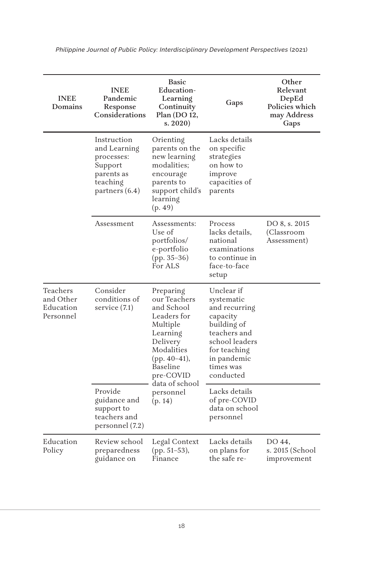| <b>INEE</b><br>Domains                          | <b>INEE</b><br>Pandemic<br>Response<br>Considerations                                              | <b>Basic</b><br><b>Education-</b><br>Learning<br>Continuity<br>Plan (DO 12,<br>s. 2020                                                               | Gaps                                                                                                                                                            | Other<br>Relevant<br>DepEd<br>Policies which<br>may Address<br>Gaps |
|-------------------------------------------------|----------------------------------------------------------------------------------------------------|------------------------------------------------------------------------------------------------------------------------------------------------------|-----------------------------------------------------------------------------------------------------------------------------------------------------------------|---------------------------------------------------------------------|
|                                                 | Instruction<br>and Learning<br>processes:<br>Support<br>parents as<br>teaching<br>partners $(6.4)$ | Orienting<br>parents on the<br>new learning<br>modalities;<br>encourage<br>parents to<br>support child's<br>learning<br>(p. 49)                      | Lacks details<br>on specific<br>strategies<br>on how to<br>improve<br>capacities of<br>parents                                                                  |                                                                     |
|                                                 | Assessment                                                                                         | Assessments:<br>Use of<br>portfolios/<br>e-portfolio<br>$(pp. 35-36)$<br>For ALS                                                                     | Process<br>lacks details,<br>national<br>examinations<br>to continue in<br>face-to-face<br>setup                                                                | DO 8, s. 2015<br>(Classroom<br>Assessment)                          |
| Teachers<br>and Other<br>Education<br>Personnel | Consider<br>conditions of<br>service (7.1)                                                         | Preparing<br>our Teachers<br>and School<br>Leaders for<br>Multiple<br>Learning<br>Delivery<br>Modalities<br>(pp. $40-41$ ),<br>Baseline<br>pre-COVID | Unclear if<br>systematic<br>and recurring<br>capacity<br>building of<br>teachers and<br>school leaders<br>for teaching<br>in pandemic<br>times was<br>conducted |                                                                     |
|                                                 | Provide<br>guidance and<br>support to<br>teachers and<br>personnel (7.2)                           | data of school<br>personnel<br>(p. 14)                                                                                                               | Lacks details<br>of pre-COVID<br>data on school<br>personnel                                                                                                    |                                                                     |
| Education<br>Policy                             | Review school<br>preparedness<br>guidance on                                                       | Legal Context<br>(pp. 51–53),<br>Finance                                                                                                             | Lacks details<br>on plans for<br>the safe re-                                                                                                                   | DO 44,<br>s. 2015 (School<br>improvement                            |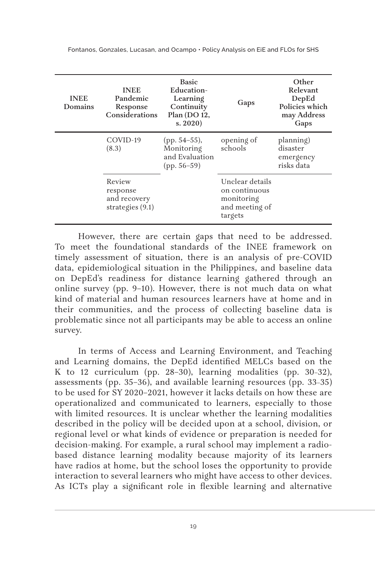| <b>INEE</b><br>Domains | <b>INEE</b><br>Pandemic<br>Response<br>Considerations  | <b>Basic</b><br>Education-<br>Learning<br>Continuity<br>Plan (DO 12,<br>s. 2020 | Gaps                                                                        | Other<br>Relevant<br>DepEd<br>Policies which<br>may Address<br>Gaps |
|------------------------|--------------------------------------------------------|---------------------------------------------------------------------------------|-----------------------------------------------------------------------------|---------------------------------------------------------------------|
|                        | COVID-19<br>(8.3)                                      | $(pp. 54-55)$ ,<br>Monitoring<br>and Evaluation<br>$(pp. 56-59)$                | opening of<br>schools                                                       | planning)<br>disaster<br>emergency<br>risks data                    |
|                        | Review<br>response<br>and recovery<br>strategies (9.1) |                                                                                 | Unclear details<br>on continuous<br>monitoring<br>and meeting of<br>targets |                                                                     |

However, there are certain gaps that need to be addressed. To meet the foundational standards of the INEE framework on timely assessment of situation, there is an analysis of pre-COVID data, epidemiological situation in the Philippines, and baseline data on DepEd's readiness for distance learning gathered through an online survey (pp. 9–10). However, there is not much data on what kind of material and human resources learners have at home and in their communities, and the process of collecting baseline data is problematic since not all participants may be able to access an online survey.

In terms of Access and Learning Environment, and Teaching and Learning domains, the DepEd identified MELCs based on the K to 12 curriculum (pp. 28–30), learning modalities (pp. 30–32), assessments (pp. 35–36), and available learning resources  $(pp. 33-35)$ to be used for SY 2020–2021, however it lacks details on how these are operationalized and communicated to learners, especially to those with limited resources. It is unclear whether the learning modalities described in the policy will be decided upon at a school, division, or regional level or what kinds of evidence or preparation is needed for decision-making. For example, a rural school may implement a radiobased distance learning modality because majority of its learners have radios at home, but the school loses the opportunity to provide interaction to several learners who might have access to other devices. As ICTs play a significant role in flexible learning and alternative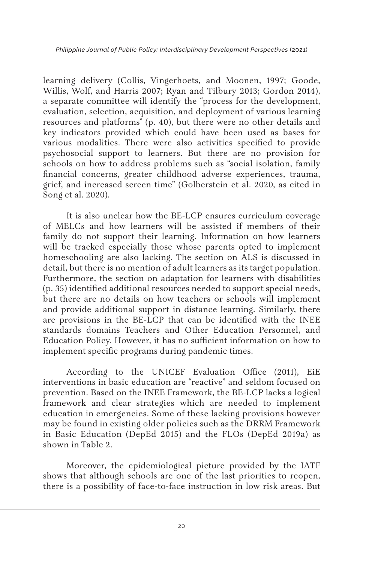learning delivery (Collis, Vingerhoets, and Moonen, 1997; Goode, Willis, Wolf, and Harris 2007; Ryan and Tilbury 2013; Gordon 2014), a separate committee will identify the "process for the development, evaluation, selection, acquisition, and deployment of various learning resources and platforms" (p. 40), but there were no other details and key indicators provided which could have been used as bases for various modalities. There were also activities specified to provide psychosocial support to learners. But there are no provision for schools on how to address problems such as "social isolation, family financial concerns, greater childhood adverse experiences, trauma, grief, and increased screen time" (Golberstein et al. 2020, as cited in Song et al. 2020).

It is also unclear how the BE-LCP ensures curriculum coverage of MELCs and how learners will be assisted if members of their family do not support their learning. Information on how learners will be tracked especially those whose parents opted to implement homeschooling are also lacking. The section on ALS is discussed in detail, but there is no mention of adult learners as its target population. Furthermore, the section on adaptation for learners with disabilities (p. 35) identified additional resources needed to support special needs, but there are no details on how teachers or schools will implement and provide additional support in distance learning. Similarly, there are provisions in the BE-LCP that can be identified with the INEE standards domains Teachers and Other Education Personnel, and Education Policy. However, it has no sufficient information on how to implement specific programs during pandemic times.

According to the UNICEF Evaluation Office (2011), EiE interventions in basic education are "reactive" and seldom focused on prevention. Based on the INEE Framework, the BE-LCP lacks a logical framework and clear strategies which are needed to implement education in emergencies. Some of these lacking provisions however may be found in existing older policies such as the DRRM Framework in Basic Education (DepEd 2015) and the FLOs (DepEd 2019a) as shown in Table 2.

Moreover, the epidemiological picture provided by the IATF shows that although schools are one of the last priorities to reopen, there is a possibility of face-to-face instruction in low risk areas. But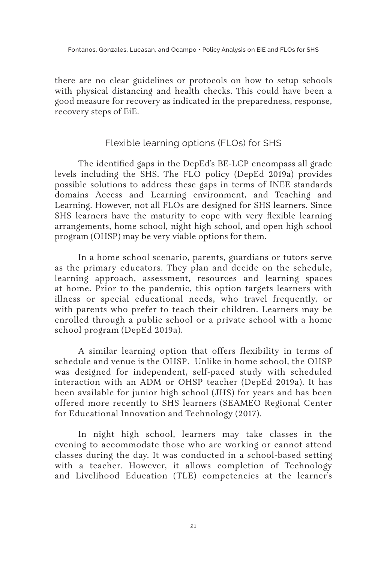there are no clear guidelines or protocols on how to setup schools with physical distancing and health checks. This could have been a good measure for recovery as indicated in the preparedness, response, recovery steps of EiE.

# Flexible learning options (FLOs) for SHS

The identified gaps in the DepEd's BE-LCP encompass all grade levels including the SHS. The FLO policy (DepEd 2019a) provides possible solutions to address these gaps in terms of INEE standards domains Access and Learning environment, and Teaching and Learning. However, not all FLOs are designed for SHS learners. Since SHS learners have the maturity to cope with very flexible learning arrangements, home school, night high school, and open high school program (OHSP) may be very viable options for them.

In a home school scenario, parents, guardians or tutors serve as the primary educators. They plan and decide on the schedule, learning approach, assessment, resources and learning spaces at home. Prior to the pandemic, this option targets learners with illness or special educational needs, who travel frequently, or with parents who prefer to teach their children. Learners may be enrolled through a public school or a private school with a home school program (DepEd 2019a).

A similar learning option that offers flexibility in terms of schedule and venue is the OHSP. Unlike in home school, the OHSP was designed for independent, self-paced study with scheduled interaction with an ADM or OHSP teacher (DepEd 2019a). It has been available for junior high school (JHS) for years and has been offered more recently to SHS learners (SEAMEO Regional Center for Educational Innovation and Technology (2017).

In night high school, learners may take classes in the evening to accommodate those who are working or cannot attend classes during the day. It was conducted in a school-based setting with a teacher. However, it allows completion of Technology and Livelihood Education (TLE) competencies at the learner's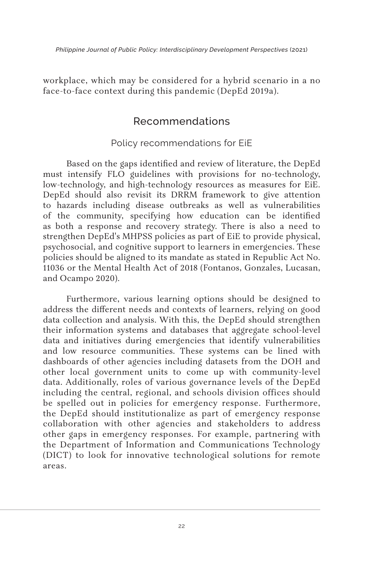workplace, which may be considered for a hybrid scenario in a no face-to-face context during this pandemic (DepEd 2019a).

# Recommendations

### Policy recommendations for EiE

Based on the gaps identified and review of literature, the DepEd must intensify FLO guidelines with provisions for no-technology, low-technology, and high-technology resources as measures for EiE. DepEd should also revisit its DRRM framework to give attention to hazards including disease outbreaks as well as vulnerabilities of the community, specifying how education can be identified as both a response and recovery strategy. There is also a need to strengthen DepEd's MHPSS policies as part of EiE to provide physical, psychosocial, and cognitive support to learners in emergencies. These policies should be aligned to its mandate as stated in Republic Act No. 11036 or the Mental Health Act of 2018 (Fontanos, Gonzales, Lucasan, and Ocampo 2020).

Furthermore, various learning options should be designed to address the different needs and contexts of learners, relying on good data collection and analysis. With this, the DepEd should strengthen their information systems and databases that aggregate school-level data and initiatives during emergencies that identify vulnerabilities and low resource communities. These systems can be lined with dashboards of other agencies including datasets from the DOH and other local government units to come up with community-level data. Additionally, roles of various governance levels of the DepEd including the central, regional, and schools division offices should be spelled out in policies for emergency response. Furthermore, the DepEd should institutionalize as part of emergency response collaboration with other agencies and stakeholders to address other gaps in emergency responses. For example, partnering with the Department of Information and Communications Technology (DICT) to look for innovative technological solutions for remote areas.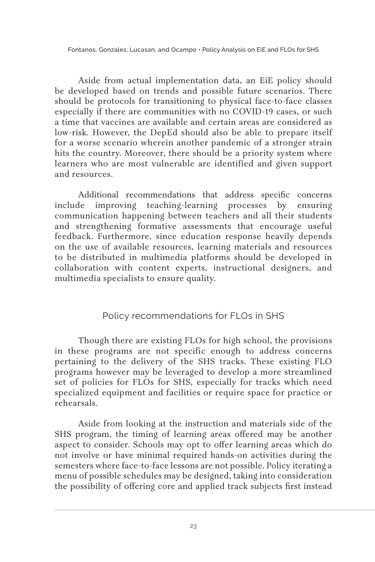Aside from actual implementation data, an EiE policy should be developed based on trends and possible future scenarios. There should be protocols for transitioning to physical face-to-face classes especially if there are communities with no COVID-19 cases, or such a time that vaccines are available and certain areas are considered as low-risk. However, the DepEd should also be able to prepare itself for a worse scenario wherein another pandemic of a stronger strain hits the country. Moreover, there should be a priority system where learners who are most vulnerable are identified and given support and resources.

Additional recommendations that address specific concerns include improving teaching-learning processes by ensuring communication happening between teachers and all their students and strengthening formative assessments that encourage useful feedback. Furthermore, since education response heavily depends on the use of available resources, learning materials and resources to be distributed in multimedia platforms should be developed in collaboration with content experts, instructional designers, and multimedia specialists to ensure quality.

# Policy recommendations for FLOs in SHS

Though there are existing FLOs for high school, the provisions in these programs are not specific enough to address concerns pertaining to the delivery of the SHS tracks. These existing FLO programs however may be leveraged to develop a more streamlined set of policies for FLOs for SHS, especially for tracks which need specialized equipment and facilities or require space for practice or rehearsals.

Aside from looking at the instruction and materials side of the SHS program, the timing of learning areas offered may be another aspect to consider. Schools may opt to offer learning areas which do not involve or have minimal required hands-on activities during the semesters where face-to-face lessons are not possible. Policy iterating a menu of possible schedules may be designed, taking into consideration the possibility of offering core and applied track subjects first instead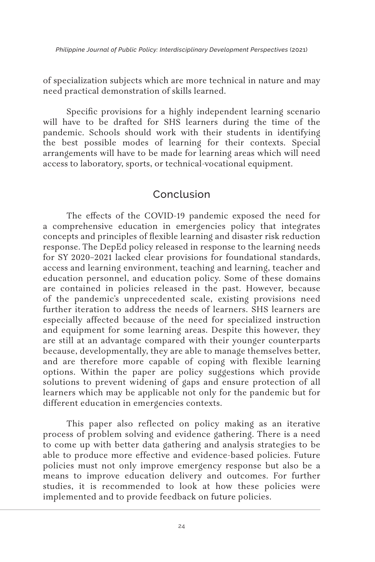of specialization subjects which are more technical in nature and may need practical demonstration of skills learned.

Specific provisions for a highly independent learning scenario will have to be drafted for SHS learners during the time of the pandemic. Schools should work with their students in identifying the best possible modes of learning for their contexts. Special arrangements will have to be made for learning areas which will need access to laboratory, sports, or technical-vocational equipment.

# Conclusion

The effects of the COVID-19 pandemic exposed the need for a comprehensive education in emergencies policy that integrates concepts and principles of flexible learning and disaster risk reduction response. The DepEd policy released in response to the learning needs for SY 2020–2021 lacked clear provisions for foundational standards, access and learning environment, teaching and learning, teacher and education personnel, and education policy. Some of these domains are contained in policies released in the past. However, because of the pandemic's unprecedented scale, existing provisions need further iteration to address the needs of learners. SHS learners are especially affected because of the need for specialized instruction and equipment for some learning areas. Despite this however, they are still at an advantage compared with their younger counterparts because, developmentally, they are able to manage themselves better, and are therefore more capable of coping with flexible learning options. Within the paper are policy suggestions which provide solutions to prevent widening of gaps and ensure protection of all learners which may be applicable not only for the pandemic but for different education in emergencies contexts.

This paper also reflected on policy making as an iterative process of problem solving and evidence gathering. There is a need to come up with better data gathering and analysis strategies to be able to produce more effective and evidence-based policies. Future policies must not only improve emergency response but also be a means to improve education delivery and outcomes. For further studies, it is recommended to look at how these policies were implemented and to provide feedback on future policies.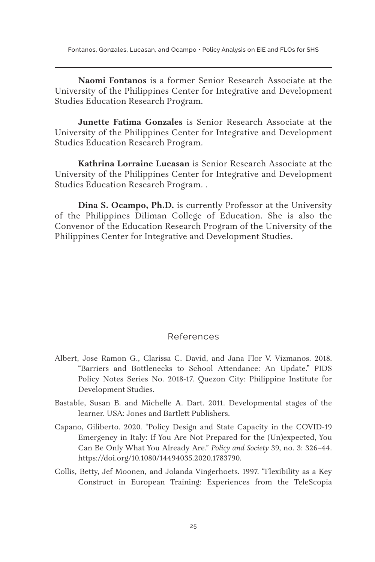**Naomi Fontanos** is a former Senior Research Associate at the University of the Philippines Center for Integrative and Development Studies Education Research Program.

**Junette Fatima Gonzales** is Senior Research Associate at the University of the Philippines Center for Integrative and Development Studies Education Research Program.

**Kathrina Lorraine Lucasan** is Senior Research Associate at the University of the Philippines Center for Integrative and Development Studies Education Research Program. .

**Dina S. Ocampo, Ph.D.** is currently Professor at the University of the Philippines Diliman College of Education. She is also the Convenor of the Education Research Program of the University of the Philippines Center for Integrative and Development Studies.

### References

- Albert, Jose Ramon G., Clarissa C. David, and Jana Flor V. Vizmanos. 2018. "Barriers and Bottlenecks to School Attendance: An Update." PIDS Policy Notes Series No. 2018-17. Quezon City: Philippine Institute for Development Studies.
- Bastable, Susan B. and Michelle A. Dart. 2011. Developmental stages of the learner. USA: Jones and Bartlett Publishers.
- Capano, Giliberto. 2020. "Policy Design and State Capacity in the COVID-19 Emergency in Italy: If You Are Not Prepared for the (Un)expected, You Can Be Only What You Already Are." *Policy and Society* 39, no. 3: 326–44. https://doi.org/10.1080/14494035.2020.1783790.
- Collis, Betty, Jef Moonen, and Jolanda Vingerhoets. 1997. "Flexibility as a Key Construct in European Training: Experiences from the TeleScopia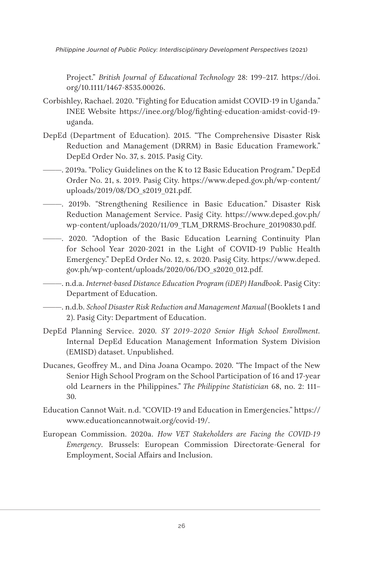Project." *British Journal of Educational Technology* 28: 199–217. https://doi. org/10.1111/1467-8535.00026.

- Corbishley, Rachael. 2020. "Fighting for Education amidst COVID-19 in Uganda." INEE Website https://inee.org/blog/fighting-education-amidst-covid-19 uganda.
- DepEd (Department of Education). 2015. "The Comprehensive Disaster Risk Reduction and Management (DRRM) in Basic Education Framework." DepEd Order No. 37, s. 2015. Pasig City.
- ———. 2019a. "Policy Guidelines on the K to 12 Basic Education Program." DepEd Order No. 21, s. 2019. Pasig City. https://www.deped.gov.ph/wp-content/ uploads/2019/08/DO\_s2019\_021.pdf.
- ———. 2019b. "Strengthening Resilience in Basic Education." Disaster Risk Reduction Management Service. Pasig City. https://www.deped.gov.ph/ wp-content/uploads/2020/11/09\_TLM\_DRRMS-Brochure\_20190830.pdf.
- ———. 2020. "Adoption of the Basic Education Learning Continuity Plan for School Year 2020-2021 in the Light of COVID-19 Public Health Emergency." DepEd Order No. 12, s. 2020. Pasig City. https://www.deped. gov.ph/wp-content/uploads/2020/06/DO\_s2020\_012.pdf.
- ———. n.d.a. *Internet-based Distance Education Program (iDEP) Handbook*. Pasig City: Department of Education.
- ———. n.d.b. *School Disaster Risk Reduction and Management Manual* (Booklets 1 and 2). Pasig City: Department of Education.
- DepEd Planning Service. 2020. *SY 2019–2020 Senior High School Enrollment.*  Internal DepEd Education Management Information System Division (EMISD) dataset. Unpublished.
- Ducanes, Geoffrey M., and Dina Joana Ocampo. 2020. "The Impact of the New Senior High School Program on the School Participation of 16 and 17-year old Learners in the Philippines." *The Philippine Statistician* 68, no. 2: 111– 30.
- Education Cannot Wait. n.d. "COVID-19 and Education in Emergencies." https:// www.educationcannotwait.org/covid-19/.
- European Commission. 2020a. *How VET Stakeholders are Facing the COVID-19 Emergency.* Brussels: European Commission Directorate-General for Employment, Social Affairs and Inclusion.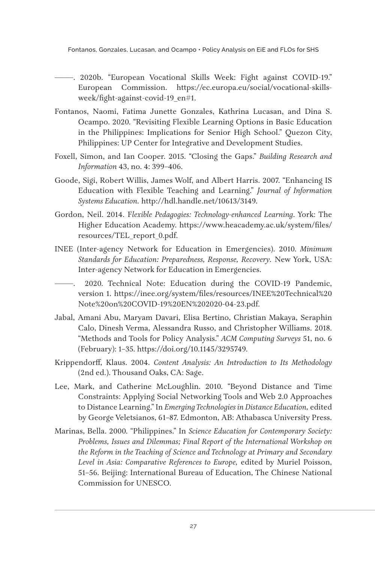- ———. 2020b. "European Vocational Skills Week: Fight against COVID-19." European Commission. https://ec.europa.eu/social/vocational-skillsweek/fight-against-covid-19\_en#1.
- Fontanos, Naomi, Fatima Junette Gonzales, Kathrina Lucasan, and Dina S. Ocampo. 2020. "Revisiting Flexible Learning Options in Basic Education in the Philippines: Implications for Senior High School." Quezon City, Philippines: UP Center for Integrative and Development Studies.
- Foxell, Simon, and Ian Cooper. 2015. "Closing the Gaps." *Building Research and Information* 43, no. 4: 399–406.
- Goode, Sigi, Robert Willis, James Wolf, and Albert Harris. 2007. "Enhancing IS Education with Flexible Teaching and Learning." *Journal of Information Systems Education.* http://hdl.handle.net/10613/3149.
- Gordon, Neil. 2014. F*lexible Pedagogies: Technology-enhanced Learning*. York: The Higher Education Academy. https://www.heacademy.ac.uk/system/files/ resources/TEL\_report\_0.pdf.
- INEE (Inter-agency Network for Education in Emergencies). 2010. *Minimum Standards for Education: Preparedness, Response, Recovery.* New York, USA: Inter-agency Network for Education in Emergencies.
- 2020. Technical Note: Education during the COVID-19 Pandemic, version 1. https://inee.org/system/files/resources/INEE%20Technical%20 Note%20on%20COVID-19%20EN%202020-04-23.pdf.
- Jabal, Amani Abu, Maryam Davari, Elisa Bertino, Christian Makaya, Seraphin Calo, Dinesh Verma, Alessandra Russo, and Christopher Williams. 2018. "Methods and Tools for Policy Analysis." *ACM Computing Surveys* 51, no. 6 (February): 1–35. https://doi.org/10.1145/3295749.
- Krippendorff, Klaus. 2004. *Content Analysis: An Introduction to Its Methodology* (2nd ed.). Thousand Oaks, CA: Sage.
- Lee, Mark, and Catherine McLoughlin. 2010. "Beyond Distance and Time Constraints: Applying Social Networking Tools and Web 2.0 Approaches to Distance Learning." In *Emerging Technologies in Distance Education,* edited by George Veletsianos, 61–87. Edmonton, AB: Athabasca University Press.
- Marinas, Bella. 2000. "Philippines." In *Science Education for Contemporary Society: Problems, Issues and Dilemmas; Final Report of the International Workshop on the Reform in the Teaching of Science and Technology at Primary and Secondary Level in Asia: Comparative References to Europe,* edited by Muriel Poisson, 51–56. Beijing: International Bureau of Education, The Chinese National Commission for UNESCO.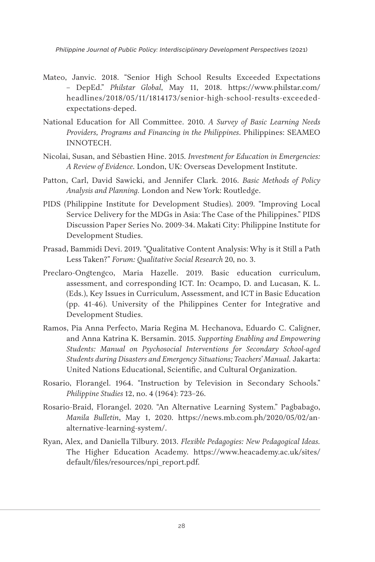- Mateo, Janvic. 2018. "Senior High School Results Exceeded Expectations – DepEd." *Philstar Global*, May 11, 2018. https://www.philstar.com/ headlines/2018/05/11/1814173/senior-high-school-results-exceededexpectations-deped.
- National Education for All Committee. 2010. *A Survey of Basic Learning Needs Providers, Programs and Financing in the Philippines*. Philippines: SEAMEO INNOTECH.
- Nicolai, Susan, and Sébastien Hine. 2015. *Investment for Education in Emergencies: A Review of Evidence.* London, UK: Overseas Development Institute.
- Patton, Carl, David Sawicki, and Jennifer Clark. 2016. *Basic Methods of Policy Analysis and Planning.* London and New York: Routledge.
- PIDS (Philippine Institute for Development Studies). 2009. "Improving Local Service Delivery for the MDGs in Asia: The Case of the Philippines." PIDS Discussion Paper Series No. 2009-34. Makati City: Philippine Institute for Development Studies.
- Prasad, Bammidi Devi. 2019. "Qualitative Content Analysis: Why is it Still a Path Less Taken?" *Forum: Qualitative Social Research* 20, no. 3.
- Preclaro-Ongtengco, Maria Hazelle. 2019. Basic education curriculum, assessment, and corresponding ICT. In: Ocampo, D. and Lucasan, K. L. (Eds.), Key Issues in Curriculum, Assessment, and ICT in Basic Education (pp. 41-46). University of the Philippines Center for Integrative and Development Studies.
- Ramos, Pia Anna Perfecto, Maria Regina M. Hechanova, Eduardo C. Caligner, and Anna Katrina K. Bersamin. 2015. *Supporting Enabling and Empowering Students: Manual on Psychosocial Interventions for Secondary School-aged Students during Disasters and Emergency Situations; Teachers' Manual.* Jakarta: United Nations Educational, Scientific, and Cultural Organization.
- Rosario, Florangel. 1964. "Instruction by Television in Secondary Schools." *Philippine Studies* 12, no. 4 (1964): 723–26.
- Rosario-Braid, Florangel. 2020. "An Alternative Learning System." Pagbabago, *Manila Bulletin*, May 1, 2020. https://news.mb.com.ph/2020/05/02/analternative-learning-system/.
- Ryan, Alex, and Daniella Tilbury. 2013. *Flexible Pedagogies: New Pedagogical Ideas.* The Higher Education Academy. https://www.heacademy.ac.uk/sites/ default/files/resources/npi\_report.pdf.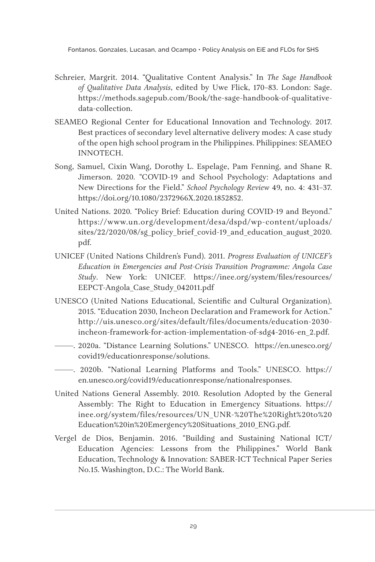- Schreier, Margrit. 2014. "Qualitative Content Analysis." In *The Sage Handbook of Qualitative Data Analysis*, edited by Uwe Flick, 170–83. London: Sage. https://methods.sagepub.com/Book/the-sage-handbook-of-qualitativedata-collection.
- SEAMEO Regional Center for Educational Innovation and Technology. 2017. Best practices of secondary level alternative delivery modes: A case study of the open high school program in the Philippines. Philippines: SEAMEO INNOTECH.
- Song, Samuel, Cixin Wang, Dorothy L. Espelage, Pam Fenning, and Shane R. Jimerson. 2020. "COVID-19 and School Psychology: Adaptations and New Directions for the Field." *School Psychology Review* 49, no. 4: 431–37. https://doi.org/10.1080/2372966X.2020.1852852.
- United Nations. 2020. "Policy Brief: Education during COVID-19 and Beyond." https://www.un.org/development/desa/dspd/wp-content/uploads/ sites/22/2020/08/sg\_policy\_brief\_covid-19\_and\_education\_august\_2020. pdf.
- UNICEF (United Nations Children's Fund). 2011. *Progress Evaluation of UNICEF's Education in Emergencies and Post-Crisis Transition Programme: Angola Case Study*. New York: UNICEF. https://inee.org/system/files/resources/ EEPCT-Angola\_Case\_Study\_042011.pdf
- UNESCO (United Nations Educational, Scientific and Cultural Organization). 2015. "Education 2030, Incheon Declaration and Framework for Action." http://uis.unesco.org/sites/default/files/documents/education-2030 incheon-framework-for-action-implementation-of-sdg4-2016-en\_2.pdf.
- ———. 2020a. "Distance Learning Solutions." UNESCO. https://en.unesco.org/ covid19/educationresponse/solutions.
- ———. 2020b. "National Learning Platforms and Tools." UNESCO. https:// en.unesco.org/covid19/educationresponse/nationalresponses.
- United Nations General Assembly. 2010. Resolution Adopted by the General Assembly: The Right to Education in Emergency Situations. https:// inee.org/system/files/resources/UN\_UNR-%20The%20Right%20to%20 Education%20in%20Emergency%20Situations\_2010\_ENG.pdf.
- Vergel de Dios, Benjamin. 2016. "Building and Sustaining National ICT/ Education Agencies: Lessons from the Philippines." World Bank Education, Technology & Innovation: SABER-ICT Technical Paper Series No.15. Washington, D.C.: The World Bank.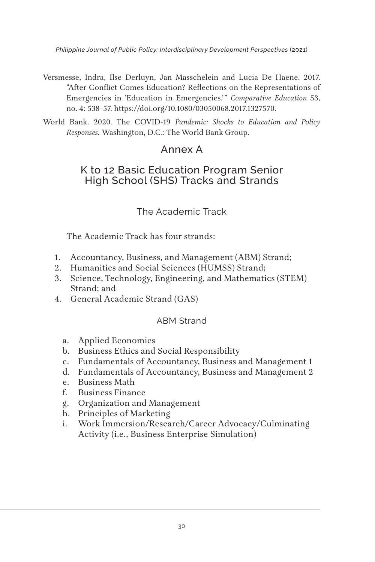- Versmesse, Indra, Ilse Derluyn, Jan Masschelein and Lucia De Haene. 2017. "After Conflict Comes Education? Reflections on the Representations of Emergencies in 'Education in Emergencies.'" *Comparative Education* 53, no. 4: 538–57. https://doi.org/10.1080/03050068.2017.1327570.
- World Bank. 2020. The COVID-19 *Pandemic: Shocks to Education and Policy Responses.* Washington, D.C.: The World Bank Group.

# Annex A

# K to 12 Basic Education Program Senior High School (SHS) Tracks and Strands

## The Academic Track

The Academic Track has four strands:

- 1. Accountancy, Business, and Management (ABM) Strand;
- 2. Humanities and Social Sciences (HUMSS) Strand;
- 3. Science, Technology, Engineering, and Mathematics (STEM) Strand; and
- 4. General Academic Strand (GAS)

### ABM Strand

- a. Applied Economics
- b. Business Ethics and Social Responsibility
- c. Fundamentals of Accountancy, Business and Management 1
- d. Fundamentals of Accountancy, Business and Management 2
- e. Business Math
- f. Business Finance
- g. Organization and Management
- h. Principles of Marketing
- i. Work Immersion/Research/Career Advocacy/Culminating Activity (i.e., Business Enterprise Simulation)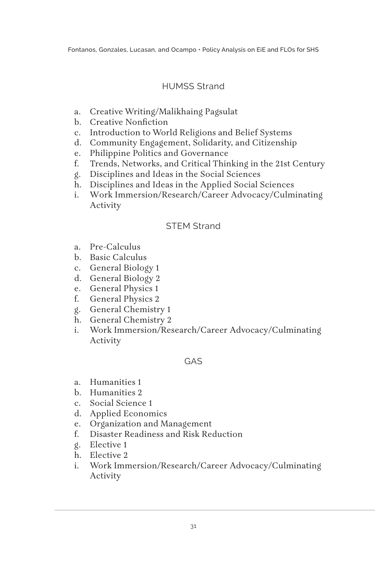# HUMSS Strand

- a. Creative Writing/Malikhaing Pagsulat
- b. Creative Nonfiction
- c. Introduction to World Religions and Belief Systems
- d. Community Engagement, Solidarity, and Citizenship
- e. Philippine Politics and Governance
- f. Trends, Networks, and Critical Thinking in the 21st Century
- g. Disciplines and Ideas in the Social Sciences
- h. Disciplines and Ideas in the Applied Social Sciences
- i. Work Immersion/Research/Career Advocacy/Culminating Activity

### STEM Strand

- a. Pre-Calculus
- b. Basic Calculus
- c. General Biology 1
- d. General Biology 2
- e. General Physics 1
- f. General Physics 2
- g. General Chemistry 1
- h. General Chemistry 2
- i. Work Immersion/Research/Career Advocacy/Culminating Activity

### GAS

- a. Humanities 1
- b. Humanities 2
- c. Social Science 1
- d. Applied Economics
- e. Organization and Management
- f. Disaster Readiness and Risk Reduction
- g. Elective 1
- h. Elective 2
- i. Work Immersion/Research/Career Advocacy/Culminating Activity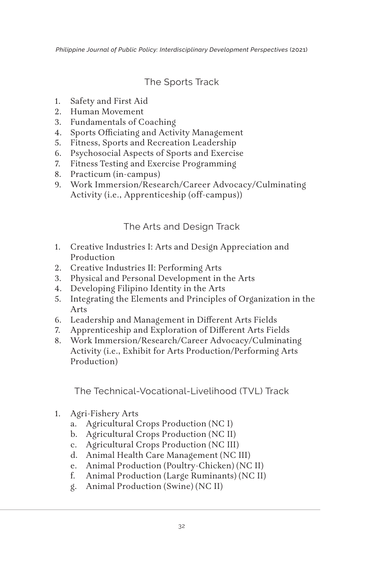The Sports Track

- 1. Safety and First Aid
- 2. Human Movement
- 3. Fundamentals of Coaching
- 4. Sports Officiating and Activity Management
- 5. Fitness, Sports and Recreation Leadership
- 6. Psychosocial Aspects of Sports and Exercise
- 7. Fitness Testing and Exercise Programming
- 8. Practicum (in-campus)
- 9. Work Immersion/Research/Career Advocacy/Culminating Activity (i.e., Apprenticeship (off-campus))

# The Arts and Design Track

- 1. Creative Industries I: Arts and Design Appreciation and Production
- 2. Creative Industries II: Performing Arts
- 3. Physical and Personal Development in the Arts
- 4. Developing Filipino Identity in the Arts
- 5. Integrating the Elements and Principles of Organization in the Arts
- 6. Leadership and Management in Different Arts Fields
- 7. Apprenticeship and Exploration of Different Arts Fields
- 8. Work Immersion/Research/Career Advocacy/Culminating Activity (i.e., Exhibit for Arts Production/Performing Arts Production)

The Technical-Vocational-Livelihood (TVL) Track

- 1. Agri-Fishery Arts
	- a. Agricultural Crops Production (NC I)
	- b. Agricultural Crops Production (NC II)
	- c. Agricultural Crops Production (NC III)
	- d. Animal Health Care Management (NC III)
	- e. Animal Production (Poultry-Chicken) (NC II)
	- f. Animal Production (Large Ruminants) (NC II)
	- g. Animal Production (Swine) (NC II)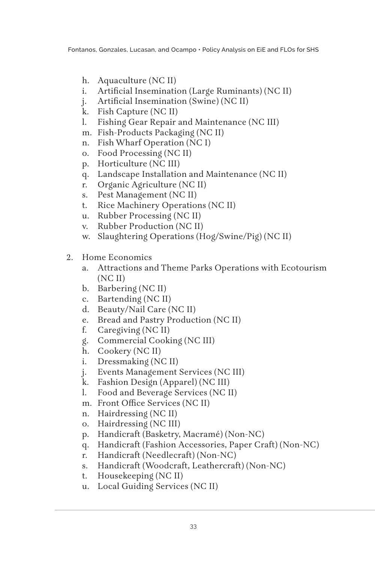- h. Aquaculture (NC II)
- i. Artificial Insemination (Large Ruminants) (NC II)
- j. Artificial Insemination (Swine) (NC II)
- k. Fish Capture (NC II)
- l. Fishing Gear Repair and Maintenance (NC III)
- m. Fish-Products Packaging (NC II)
- n. Fish Wharf Operation (NC I)
- o. Food Processing (NC II)
- p. Horticulture (NC III)
- q. Landscape Installation and Maintenance (NC II)
- r. Organic Agriculture (NC II)
- s. Pest Management (NC II)
- t. Rice Machinery Operations (NC II)
- u. Rubber Processing (NC II)
- v. Rubber Production (NC II)
- w. Slaughtering Operations (Hog/Swine/Pig) (NC II)
- 2. Home Economics
	- a. Attractions and Theme Parks Operations with Ecotourism (NC II)
	- b. Barbering (NC II)
	- c. Bartending (NC II)
	- d. Beauty/Nail Care (NC II)
	- e. Bread and Pastry Production (NC II)
	- f. Caregiving (NC II)
	- g. Commercial Cooking (NC III)
	- h. Cookery (NC II)
	- i. Dressmaking (NC II)
	- j. Events Management Services (NC III)
	- k. Fashion Design (Apparel) (NC III)
	- l. Food and Beverage Services (NC II)
	- m. Front Office Services (NC II)
	- n. Hairdressing (NC II)
	- o. Hairdressing (NC III)
	- p. Handicraft (Basketry, Macramé) (Non-NC)
	- q. Handicraft (Fashion Accessories, Paper Craft) (Non-NC)
	- r. Handicraft (Needlecraft) (Non-NC)
	- s. Handicraft (Woodcraft, Leathercraft) (Non-NC)
	- t. Housekeeping (NC II)
	- u. Local Guiding Services (NC II)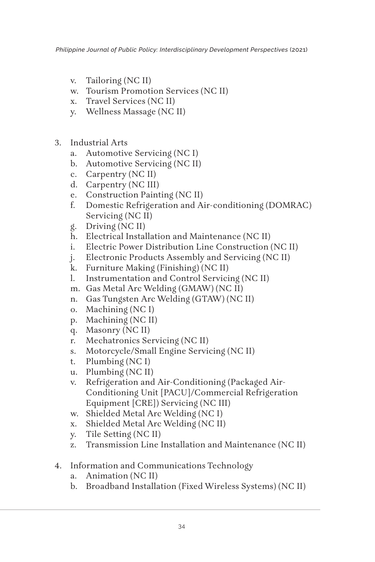- v. Tailoring (NC II)
- w. Tourism Promotion Services (NC II)
- x. Travel Services (NC II)
- y. Wellness Massage (NC II)
- 3. Industrial Arts
	- a. Automotive Servicing (NC I)
	- b. Automotive Servicing (NC II)
	- c. Carpentry (NC II)
	- d. Carpentry (NC III)
	- e. Construction Painting (NC II)
	- f. Domestic Refrigeration and Air-conditioning (DOMRAC) Servicing (NC II)
	- g. Driving (NC II)
	- h. Electrical Installation and Maintenance (NC II)
	- i. Electric Power Distribution Line Construction (NC II)
	- j. Electronic Products Assembly and Servicing (NC II)
	- k. Furniture Making (Finishing) (NC II)
	- l. Instrumentation and Control Servicing (NC II)
	- m. Gas Metal Arc Welding (GMAW) (NC II)
	- n. Gas Tungsten Arc Welding (GTAW) (NC II)
	- o. Machining (NC I)
	- p. Machining (NC II)
	- q. Masonry (NC II)
	- r. Mechatronics Servicing (NC II)
	- s. Motorcycle/Small Engine Servicing (NC II)
	- t. Plumbing (NC I)
	- u. Plumbing (NC II)
	- v. Refrigeration and Air-Conditioning (Packaged Air-Conditioning Unit [PACU]/Commercial Refrigeration Equipment [CRE]) Servicing (NC III)
	- w. Shielded Metal Arc Welding (NC I)
	- x. Shielded Metal Arc Welding (NC II)
	- y. Tile Setting (NC II)
	- z. Transmission Line Installation and Maintenance (NC II)
- 4. Information and Communications Technology
	- a. Animation (NC II)
	- b. Broadband Installation (Fixed Wireless Systems) (NC II)